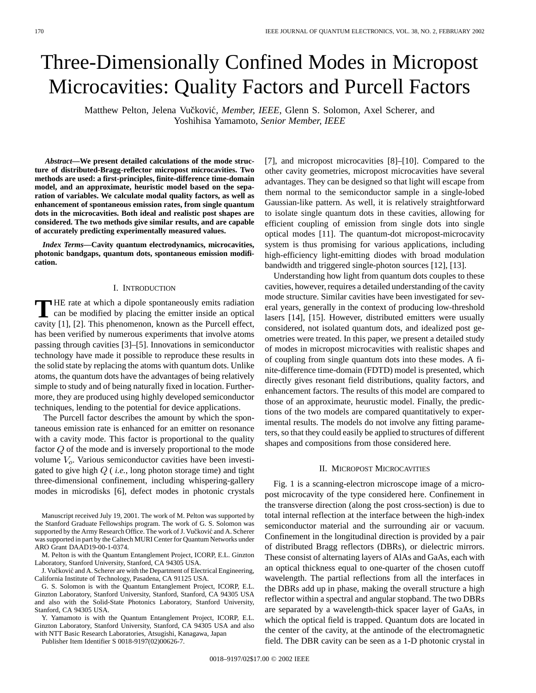# Three-Dimensionally Confined Modes in Micropost Microcavities: Quality Factors and Purcell Factors

Matthew Pelton, Jelena Vučković, Member, IEEE, Glenn S. Solomon, Axel Scherer, and Yoshihisa Yamamoto*, Senior Member, IEEE*

*Abstract—***We present detailed calculations of the mode structure of distributed-Bragg-reflector micropost microcavities. Two methods are used: a first-principles, finite-difference time-domain model, and an approximate, heuristic model based on the separation of variables. We calculate modal quality factors, as well as enhancement of spontaneous emission rates, from single quantum dots in the microcavities. Both ideal and realistic post shapes are considered. The two methods give similar results, and are capable of accurately predicting experimentally measured values.**

*Index Terms—***Cavity quantum electrodynamics, microcavities, photonic bandgaps, quantum dots, spontaneous emission modification.**

#### I. INTRODUCTION

**T** HE rate at which a dipole spontaneously emits radiation can be modified by placing the emitter inside an optical service of the Division of the Division of the Division of the Division of the Division of the Division o cavity [1], [2]. This phenomenon, known as the Purcell effect, has been verified by numerous experiments that involve atoms passing through cavities [3]–[5]. Innovations in semiconductor technology have made it possible to reproduce these results in the solid state by replacing the atoms with quantum dots. Unlike atoms, the quantum dots have the advantages of being relatively simple to study and of being naturally fixed in location. Furthermore, they are produced using highly developed semiconductor techniques, lending to the potential for device applications.

The Purcell factor describes the amount by which the spontaneous emission rate is enhanced for an emitter on resonance with a cavity mode. This factor is proportional to the quality factor  $Q$  of the mode and is inversely proportional to the mode volume  $V<sub>o</sub>$ . Various semiconductor cavities have been investigated to give high  $Q$  (*i.e.*, long photon storage time) and tight three-dimensional confinement, including whispering-gallery modes in microdisks [6], defect modes in photonic crystals

J. Vučković and A. Scherer are with the Department of Electrical Engineering, California Institute of Technology, Pasadena, CA 91125 USA.

G. S. Solomon is with the Quantum Entanglement Project, ICORP, E.L. Ginzton Laboratory, Stanford University, Stanford, Stanford, CA 94305 USA and also with the Solid-State Photonics Laboratory, Stanford University, Stanford, CA 94305 USA.

Y. Yamamoto is with the Quantum Entanglement Project, ICORP, E.L. Ginzton Laboratory, Stanford University, Stanford, CA 94305 USA and also with NTT Basic Research Laboratories, Atsugishi, Kanagawa, Japan

Publisher Item Identifier S 0018-9197(02)00626-7.

[7], and micropost microcavities [8]–[10]. Compared to the other cavity geometries, micropost microcavities have several advantages. They can be designed so that light will escape from them normal to the semiconductor sample in a single-lobed Gaussian-like pattern. As well, it is relatively straightforward to isolate single quantum dots in these cavities, allowing for efficient coupling of emission from single dots into single optical modes [11]. The quantum-dot micropost-microcavity system is thus promising for various applications, including high-efficiency light-emitting diodes with broad modulation bandwidth and triggered single-photon sources [12], [13].

Understanding how light from quantum dots couples to these cavities, however, requires a detailed understanding of the cavity mode structure. Similar cavities have been investigated for several years, generally in the context of producing low-threshold lasers [14], [15]. However, distributed emitters were usually considered, not isolated quantum dots, and idealized post geometries were treated. In this paper, we present a detailed study of modes in micropost microcavities with realistic shapes and of coupling from single quantum dots into these modes. A finite-difference time-domain (FDTD) model is presented, which directly gives resonant field distributions, quality factors, and enhancement factors. The results of this model are compared to those of an approximate, heurustic model. Finally, the predictions of the two models are compared quantitatively to experimental results. The models do not involve any fitting parameters, so that they could easily be applied to structures of different shapes and compositions from those considered here.

#### II. MICROPOST MICROCAVITIES

Fig. 1 is a scanning-electron microscope image of a micropost microcavity of the type considered here. Confinement in the transverse direction (along the post cross-section) is due to total internal reflection at the interface between the high-index semiconductor material and the surrounding air or vacuum. Confinement in the longitudinal direction is provided by a pair of distributed Bragg reflectors (DBRs), or dielectric mirrors. These consist of alternating layers of AlAs and GaAs, each with an optical thickness equal to one-quarter of the chosen cutoff wavelength. The partial reflections from all the interfaces in the DBRs add up in phase, making the overall structure a high reflector within a spectral and angular stopband. The two DBRs are separated by a wavelength-thick spacer layer of GaAs, in which the optical field is trapped. Quantum dots are located in the center of the cavity, at the antinode of the electromagnetic field. The DBR cavity can be seen as a 1-D photonic crystal in

Manuscript received July 19, 2001. The work of M. Pelton was supported by the Stanford Graduate Fellowships program. The work of G. S. Solomon was supported by the Army Research Office. The work of J. Vučković and A. Scherer was supported in part by the Caltech MURI Center for Quantum Networks under ARO Grant DAAD19-00-1-0374.

M. Pelton is with the Quantum Entanglement Project, ICORP, E.L. Ginzton Laboratory, Stanford University, Stanford, CA 94305 USA.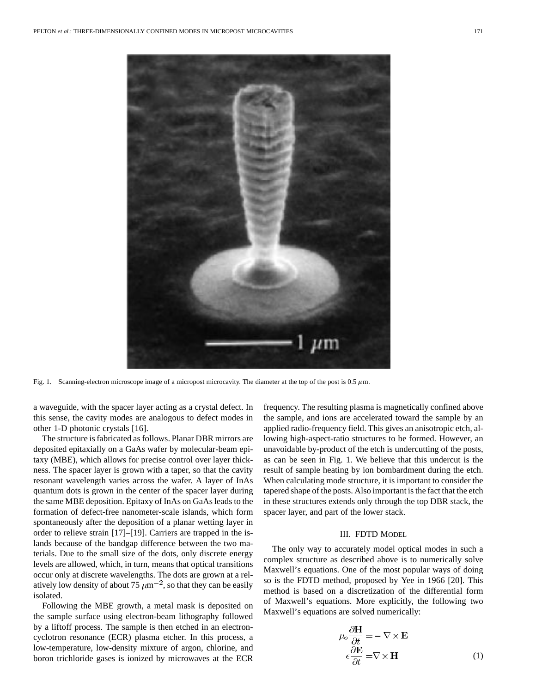

Fig. 1. Scanning-electron microscope image of a micropost microcavity. The diameter at the top of the post is 0.5  $\mu$ m.

a waveguide, with the spacer layer acting as a crystal defect. In this sense, the cavity modes are analogous to defect modes in other 1-D photonic crystals [16].

The structure is fabricated as follows. Planar DBR mirrors are deposited epitaxially on a GaAs wafer by molecular-beam epitaxy (MBE), which allows for precise control over layer thickness. The spacer layer is grown with a taper, so that the cavity resonant wavelength varies across the wafer. A layer of InAs quantum dots is grown in the center of the spacer layer during the same MBE deposition. Epitaxy of InAs on GaAs leads to the formation of defect-free nanometer-scale islands, which form spontaneously after the deposition of a planar wetting layer in order to relieve strain [17]–[19]. Carriers are trapped in the islands because of the bandgap difference between the two materials. Due to the small size of the dots, only discrete energy levels are allowed, which, in turn, means that optical transitions occur only at discrete wavelengths. The dots are grown at a relatively low density of about 75  $\mu$ m<sup>-2</sup>, so that they can be easily isolated.

Following the MBE growth, a metal mask is deposited on the sample surface using electron-beam lithography followed by a liftoff process. The sample is then etched in an electroncyclotron resonance (ECR) plasma etcher. In this process, a low-temperature, low-density mixture of argon, chlorine, and boron trichloride gases is ionized by microwaves at the ECR

frequency. The resulting plasma is magnetically confined above the sample, and ions are accelerated toward the sample by an applied radio-frequency field. This gives an anisotropic etch, allowing high-aspect-ratio structures to be formed. However, an unavoidable by-product of the etch is undercutting of the posts, as can be seen in Fig. 1. We believe that this undercut is the result of sample heating by ion bombardment during the etch. When calculating mode structure, it is important to consider the tapered shape of the posts. Also important is the fact that the etch in these structures extends only through the top DBR stack, the spacer layer, and part of the lower stack.

## III. FDTD MODEL

The only way to accurately model optical modes in such a complex structure as described above is to numerically solve Maxwell's equations. One of the most popular ways of doing so is the FDTD method, proposed by Yee in 1966 [20]. This method is based on a discretization of the differential form of Maxwell's equations. More explicitly, the following two Maxwell's equations are solved numerically:

$$
\mu_o \frac{\partial \mathbf{H}}{\partial t} = -\nabla \times \mathbf{E}
$$

$$
\epsilon \frac{\partial \mathbf{E}}{\partial t} = \nabla \times \mathbf{H}
$$
(1)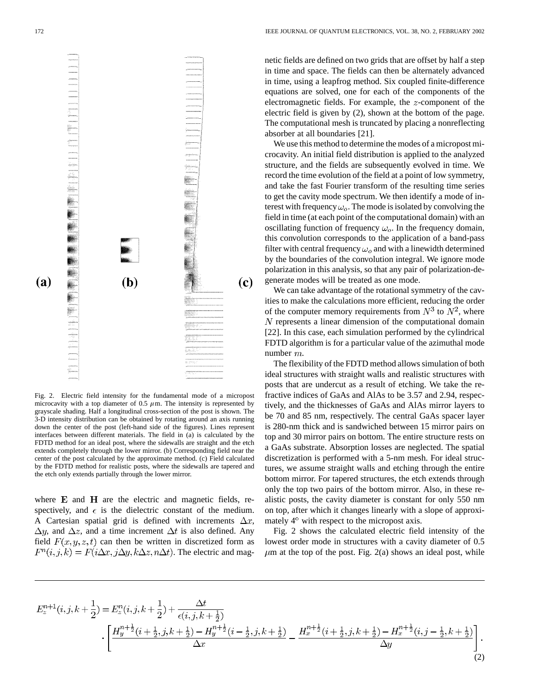

Fig. 2. Electric field intensity for the fundamental mode of a micropost microcavity with a top diameter of 0.5  $\mu$ m. The intensity is represented by grayscale shading. Half a longitudinal cross-section of the post is shown. The 3-D intensity distribution can be obtained by rotating around an axis running down the center of the post (left-hand side of the figures). Lines represent interfaces between different materials. The field in (a) is calculated by the FDTD method for an ideal post, where the sidewalls are straight and the etch extends completely through the lower mirror. (b) Corresponding field near the center of the post calculated by the approximate method. (c) Field calculated by the FDTD method for realistic posts, where the sidewalls are tapered and the etch only extends partially through the lower mirror.

where  $E$  and  $H$  are the electric and magnetic fields, respectively, and  $\epsilon$  is the dielectric constant of the medium. A Cartesian spatial grid is defined with increments  $\Delta x$ ,  $\Delta y$ , and  $\Delta z$ , and a time increment  $\Delta t$  is also defined. Any field  $F(x, y, z, t)$  can then be written in discretized form as  $F^{n}(i, j, k) = F(i\Delta x, j\Delta y, k\Delta z, n\Delta t)$ . The electric and magnetic fields are defined on two grids that are offset by half a step in time and space. The fields can then be alternately advanced in time, using a leapfrog method. Six coupled finite-difference equations are solved, one for each of the components of the electromagnetic fields. For example, the  $z$ -component of the electric field is given by (2), shown at the bottom of the page. The computational mesh is truncated by placing a nonreflecting absorber at all boundaries [21].

We use this method to determine the modes of a micropost microcavity. An initial field distribution is applied to the analyzed structure, and the fields are subsequently evolved in time. We record the time evolution of the field at a point of low symmetry, and take the fast Fourier transform of the resulting time series to get the cavity mode spectrum. We then identify a mode of interest with frequency  $\omega_o$ . The mode is isolated by convolving the field in time (at each point of the computational domain) with an oscillating function of frequency  $\omega_o$ . In the frequency domain, this convolution corresponds to the application of a band-pass filter with central frequency  $\omega_o$  and with a linewidth determined by the boundaries of the convolution integral. We ignore mode polarization in this analysis, so that any pair of polarization-degenerate modes will be treated as one mode.

We can take advantage of the rotational symmetry of the cavities to make the calculations more efficient, reducing the order of the computer memory requirements from  $N^3$  to  $N^2$ , where  $N$  represents a linear dimension of the computational domain [22]. In this case, each simulation performed by the cylindrical FDTD algorithm is for a particular value of the azimuthal mode number  $m$ .

The flexibility of the FDTD method allows simulation of both ideal structures with straight walls and realistic structures with posts that are undercut as a result of etching. We take the refractive indices of GaAs and AlAs to be 3.57 and 2.94, respectively, and the thicknesses of GaAs and AlAs mirror layers to be 70 and 85 nm, respectively. The central GaAs spacer layer is 280-nm thick and is sandwiched between 15 mirror pairs on top and 30 mirror pairs on bottom. The entire structure rests on a GaAs substrate. Absorption losses are neglected. The spatial discretization is performed with a 5-nm mesh. For ideal structures, we assume straight walls and etching through the entire bottom mirror. For tapered structures, the etch extends through only the top two pairs of the bottom mirror. Also, in these realistic posts, the cavity diameter is constant for only 550 nm on top, after which it changes linearly with a slope of approximately  $4^{\circ}$  with respect to the micropost axis.

Fig. 2 shows the calculated electric field intensity of the lowest order mode in structures with a cavity diameter of 0.5  $\mu$ m at the top of the post. Fig. 2(a) shows an ideal post, while

$$
E_z^{n+1}(i,j,k+\frac{1}{2}) = E_z^n(i,j,k+\frac{1}{2}) + \frac{\Delta t}{\epsilon(i,j,k+\frac{1}{2})}
$$
  
 
$$
\cdot \left[ \frac{H_y^{n+\frac{1}{2}}(i+\frac{1}{2},j,k+\frac{1}{2}) - H_y^{n+\frac{1}{2}}(i-\frac{1}{2},j,k+\frac{1}{2})}{\Delta x} - \frac{H_x^{n+\frac{1}{2}}(i+\frac{1}{2},j,k+\frac{1}{2}) - H_x^{n+\frac{1}{2}}(i,j-\frac{1}{2},k+\frac{1}{2})}{\Delta y} \right].
$$
 (2)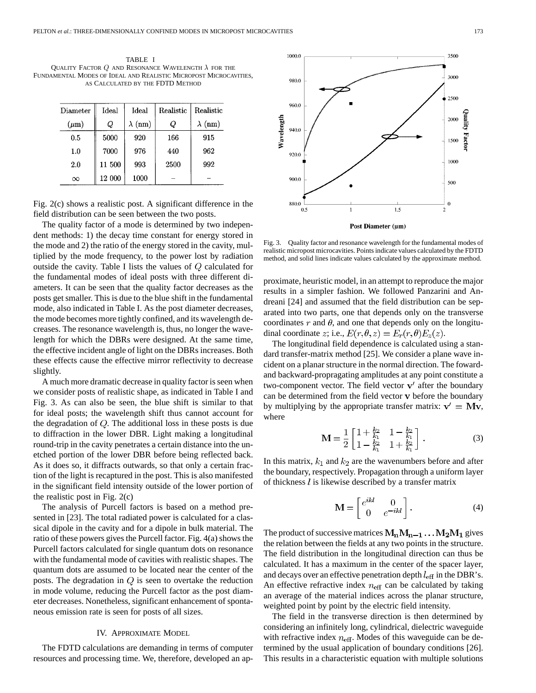TABLE I QUALITY FACTOR  $Q$  and RESONANCE WAVELENGTH  $\lambda$  for the FUNDAMENTAL MODES OF IDEAL AND REALISTIC MICROPOST MICROCAVITIES, AS CALCULATED BY THE FDTD METHOD

| Diameter  | Ideal  | Ideal          | Realistic | Realistic      |
|-----------|--------|----------------|-----------|----------------|
| $(\mu m)$ | Q      | $\lambda$ (nm) | Q         | $\lambda$ (nm) |
| 0.5       | 5000   | 920            | 166       | 915            |
| 1.0       | 7000   | 976            | 440       | 962            |
| 2.0       | 11 500 | 993            | 2500      | 992            |
| $\infty$  | 12 000 | 1000           |           |                |

Fig. 2(c) shows a realistic post. A significant difference in the field distribution can be seen between the two posts.

The quality factor of a mode is determined by two independent methods: 1) the decay time constant for energy stored in the mode and 2) the ratio of the energy stored in the cavity, multiplied by the mode frequency, to the power lost by radiation outside the cavity. Table I lists the values of  $Q$  calculated for the fundamental modes of ideal posts with three different diameters. It can be seen that the quality factor decreases as the posts get smaller. This is due to the blue shift in the fundamental mode, also indicated in Table I. As the post diameter decreases, the mode becomes more tightly confined, and its wavelength decreases. The resonance wavelength is, thus, no longer the wavelength for which the DBRs were designed. At the same time, the effective incident angle of light on the DBRs increases. Both these effects cause the effective mirror reflectivity to decrease slightly.

A much more dramatic decrease in quality factor is seen when we consider posts of realistic shape, as indicated in Table I and Fig. 3. As can also be seen, the blue shift is similar to that for ideal posts; the wavelength shift thus cannot account for the degradation of  $Q$ . The additional loss in these posts is due to diffraction in the lower DBR. Light making a longitudinal round-trip in the cavity penetrates a certain distance into the unetched portion of the lower DBR before being reflected back. As it does so, it diffracts outwards, so that only a certain fraction of the light is recaptured in the post. This is also manifested in the significant field intensity outside of the lower portion of the realistic post in Fig. 2(c)

The analysis of Purcell factors is based on a method presented in [23]. The total radiated power is calculated for a classical dipole in the cavity and for a dipole in bulk material. The ratio of these powers gives the Purcell factor. Fig. 4(a) shows the Purcell factors calculated for single quantum dots on resonance with the fundamental mode of cavities with realistic shapes. The quantum dots are assumed to be located near the center of the posts. The degradation in  $Q$  is seen to overtake the reduction in mode volume, reducing the Purcell factor as the post diameter decreases. Nonetheless, significant enhancement of spontaneous emission rate is seen for posts of all sizes.

#### IV. APPROXIMATE MODEL

The FDTD calculations are demanding in terms of computer resources and processing time. We, therefore, developed an ap-



Fig. 3. Quality factor and resonance wavelength for the fundamental modes of realistic micropost microcavities. Points indicate values calculated by the FDTD method, and solid lines indicate values calculated by the approximate method.

proximate, heuristic model, in an attempt to reproduce the major results in a simpler fashion. We followed Panzarini and Andreani [24] and assumed that the field distribution can be separated into two parts, one that depends only on the transverse coordinates r and  $\theta$ , and one that depends only on the longitudinal coordinate z; i.e.,  $E(r, \theta, z) = E_r(r, \theta) E_z(z)$ .

The longitudinal field dependence is calculated using a standard transfer-matrix method [25]. We consider a plane wave incident on a planar structure in the normal direction. The fowardand backward-propragating amplitudes at any point constitute a two-component vector. The field vector  $\mathbf{v}'$  after the boundary can be determined from the field vector  $\bf{v}$  before the boundary by multiplying by the appropriate transfer matrix:  $v' = Mv$ , where

$$
\mathbf{M} = \frac{1}{2} \begin{bmatrix} 1 + \frac{k_2}{k_1} & 1 - \frac{k_2}{k_1} \\ 1 - \frac{k_2}{k_1} & 1 + \frac{k_2}{k_1} \end{bmatrix} . \tag{3}
$$

In this matrix,  $k_1$  and  $k_2$  are the wavenumbers before and after the boundary, respectively. Propagation through a uniform layer of thickness  $l$  is likewise described by a transfer matrix

$$
\mathbf{M} = \begin{bmatrix} e^{ikl} & 0\\ 0 & e^{-ikl} \end{bmatrix} . \tag{4}
$$

The product of successive matrices  $M_nM_{n-1} \ldots M_2M_1$  gives the relation between the fields at any two points in the structure. The field distribution in the longitudinal direction can thus be calculated. It has a maximum in the center of the spacer layer, and decays over an effective penetration depth  $l_{\text{eff}}$  in the DBR's. An effective refractive index  $n_{\text{eff}}$  can be calculated by taking an average of the material indices across the planar structure, weighted point by point by the electric field intensity.

The field in the transverse direction is then determined by considering an infinitely long, cylindrical, dielectric waveguide with refractive index  $n_{\text{eff}}$ . Modes of this waveguide can be determined by the usual application of boundary conditions [26]. This results in a characteristic equation with multiple solutions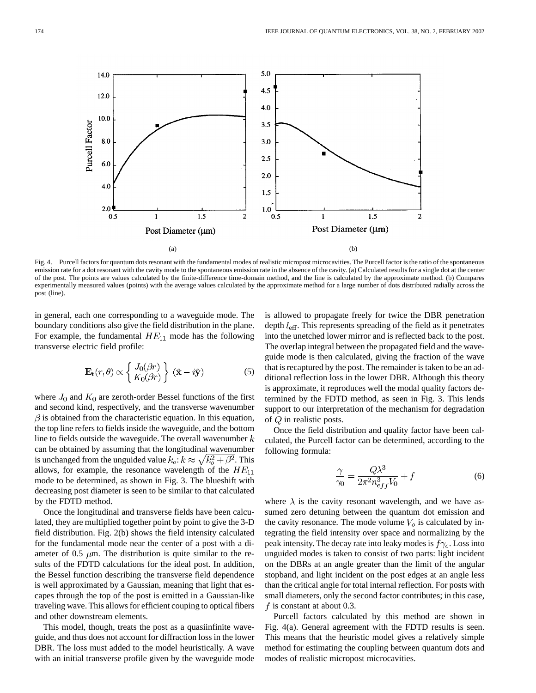

in general, each one corresponding to a waveguide mode. The boundary conditions also give the field distribution in the plane. For example, the fundamental  $HE_{11}$  mode has the following transverse electric field profile:

$$
\mathbf{E}_{\mathbf{t}}(r,\theta) \propto \begin{Bmatrix} J_0(\beta r) \\ K_0(\beta r) \end{Bmatrix} (\hat{\mathbf{x}} - i\hat{\mathbf{y}})
$$
 (5)

where  $J_0$  and  $K_0$  are zeroth-order Bessel functions of the first and second kind, respectively, and the transverse wavenumber  $\beta$  is obtained from the characteristic equation. In this equation, the top line refers to fields inside the waveguide, and the bottom line to fields outside the waveguide. The overall wavenumber  $k$ can be obtained by assuming that the longitudinal wavenumber is unchanged from the unguided value  $k_o: k \approx \sqrt{k_o^2 + \beta^2}$ . This allows, for example, the resonance wavelength of the  $HE_{11}$ mode to be determined, as shown in Fig. 3. The blueshift with decreasing post diameter is seen to be similar to that calculated by the FDTD method.

Once the longitudinal and transverse fields have been calculated, they are multiplied together point by point to give the 3-D field distribution. Fig. 2(b) shows the field intensity calculated for the fundamental mode near the center of a post with a diameter of 0.5  $\mu$ m. The distribution is quite similar to the results of the FDTD calculations for the ideal post. In addition, the Bessel function describing the transverse field dependence is well approximated by a Gaussian, meaning that light that escapes through the top of the post is emitted in a Gaussian-like traveling wave. This allows for efficient couping to optical fibers and other downstream elements.

This model, though, treats the post as a quasiinfinite waveguide, and thus does not account for diffraction loss in the lower DBR. The loss must added to the model heuristically. A wave with an initial transverse profile given by the waveguide mode is allowed to propagate freely for twice the DBR penetration depth  $l_{\text{eff}}$ . This represents spreading of the field as it penetrates into the unetched lower mirror and is reflected back to the post. The overlap integral between the propagated field and the waveguide mode is then calculated, giving the fraction of the wave that is recaptured by the post. The remainder is taken to be an additional reflection loss in the lower DBR. Although this theory is approximate, it reproduces well the modal quality factors determined by the FDTD method, as seen in Fig. 3. This lends support to our interpretation of the mechanism for degradation of  $Q$  in realistic posts.

Once the field distribution and quality factor have been calculated, the Purcell factor can be determined, according to the following formula:

$$
\frac{\gamma}{\gamma_0} = \frac{Q\lambda^3}{2\pi^2 n_{eff}^3 V_0} + f \tag{6}
$$

where  $\lambda$  is the cavity resonant wavelength, and we have assumed zero detuning between the quantum dot emission and the cavity resonance. The mode volume  $V<sub>o</sub>$  is calculated by integrating the field intensity over space and normalizing by the peak intensity. The decay rate into leaky modes is  $f\gamma_o$ . Loss into unguided modes is taken to consist of two parts: light incident on the DBRs at an angle greater than the limit of the angular stopband, and light incident on the post edges at an angle less than the critical angle for total internal reflection. For posts with small diameters, only the second factor contributes; in this case,  $f$  is constant at about 0.3.

Purcell factors calculated by this method are shown in Fig. 4(a). General agreement with the FDTD results is seen. This means that the heuristic model gives a relatively simple method for estimating the coupling between quantum dots and modes of realistic micropost microcavities.

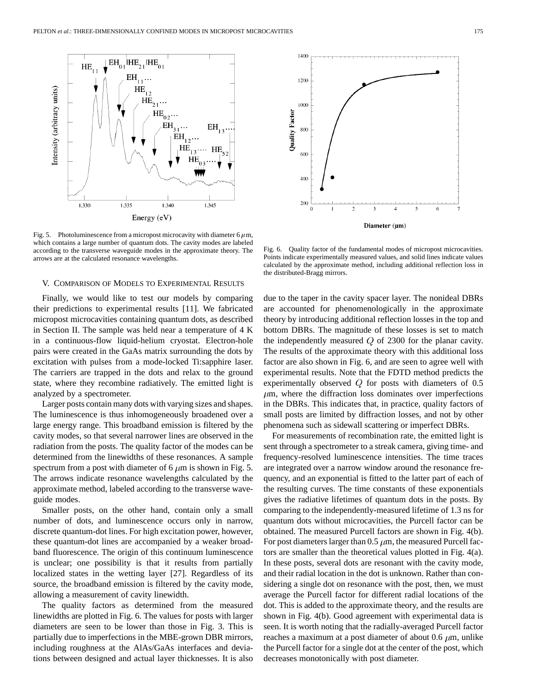$EH_{01}$   $HE_{21}$   $HE_{01}$ 

 $EH_{11}...$ 

 $HE_{12}$ 

 $\widetilde{\text{HE}}_{21}$ ...

 $HE_{02}...$ 

1.340

 $EH_{31}$ ...

EH. HE. EH.

 $\cdots$  HE

1.345

 $HE_{03}...$ 

 $HE_{11}$ 

1.330

intensity (arbitrary units)

Fig. 5. Photoluminescence from a micropost microcavity with diameter 6  $\mu$  m, which contains a large number of quantum dots. The cavity modes are labeled according to the transverse waveguide modes in the approximate theory. The arrows are at the calculated resonance wavelengths.

Energy (eV)

1.335

#### V. COMPARISON OF MODELS TO EXPERIMENTAL RESULTS

Finally, we would like to test our models by comparing their predictions to experimental results [11]. We fabricated micropost microcavities containing quantum dots, as described in Section II. The sample was held near a temperature of 4 K in a continuous-flow liquid-helium cryostat. Electron-hole pairs were created in the GaAs matrix surrounding the dots by excitation with pulses from a mode-locked Ti:sapphire laser. The carriers are trapped in the dots and relax to the ground state, where they recombine radiatively. The emitted light is analyzed by a spectrometer.

Larger posts contain many dots with varying sizes and shapes. The luminescence is thus inhomogeneously broadened over a large energy range. This broadband emission is filtered by the cavity modes, so that several narrower lines are observed in the radiation from the posts. The quality factor of the modes can be determined from the linewidths of these resonances. A sample spectrum from a post with diameter of 6  $\mu$ m is shown in Fig. 5. The arrows indicate resonance wavelengths calculated by the approximate method, labeled according to the transverse waveguide modes.

Smaller posts, on the other hand, contain only a small number of dots, and luminescence occurs only in narrow, discrete quantum-dot lines. For high excitation power, however, these quantum-dot lines are accompanied by a weaker broadband fluorescence. The origin of this continuum luminescence is unclear; one possibility is that it results from partially localized states in the wetting layer [27]. Regardless of its source, the broadband emission is filtered by the cavity mode, allowing a measurement of cavity linewidth.

The quality factors as determined from the measured linewidths are plotted in Fig. 6. The values for posts with larger diameters are seen to be lower than those in Fig. 3. This is partially due to imperfections in the MBE-grown DBR mirrors, including roughness at the AlAs/GaAs interfaces and deviations between designed and actual layer thicknesses. It is also



due to the taper in the cavity spacer layer. The nonideal DBRs are accounted for phenomenologically in the approximate theory by introducing additional reflection losses in the top and bottom DBRs. The magnitude of these losses is set to match the independently measured  $Q$  of 2300 for the planar cavity. The results of the approximate theory with this additional loss factor are also shown in Fig. 6, and are seen to agree well with experimental results. Note that the FDTD method predicts the experimentally observed  $Q$  for posts with diameters of 0.5  $\mu$ m, where the diffraction loss dominates over imperfections in the DBRs. This indicates that, in practice, quality factors of small posts are limited by diffraction losses, and not by other phenomena such as sidewall scattering or imperfect DBRs.

For measurements of recombination rate, the emitted light is sent through a spectrometer to a streak camera, giving time- and frequency-resolved luminescence intensities. The time traces are integrated over a narrow window around the resonance frequency, and an exponential is fitted to the latter part of each of the resulting curves. The time constants of these exponentials gives the radiative lifetimes of quantum dots in the posts. By comparing to the independently-measured lifetime of 1.3 ns for quantum dots without microcavities, the Purcell factor can be obtained. The measured Purcell factors are shown in Fig. 4(b). For post diameters larger than 0.5  $\mu$ m, the measured Purcell factors are smaller than the theoretical values plotted in Fig. 4(a). In these posts, several dots are resonant with the cavity mode, and their radial location in the dot is unknown. Rather than considering a single dot on resonance with the post, then, we must average the Purcell factor for different radial locations of the dot. This is added to the approximate theory, and the results are shown in Fig. 4(b). Good agreement with experimental data is seen. It is worth noting that the radially-averaged Purcell factor reaches a maximum at a post diameter of about 0.6  $\mu$ m, unlike the Purcell factor for a single dot at the center of the post, which decreases monotonically with post diameter.

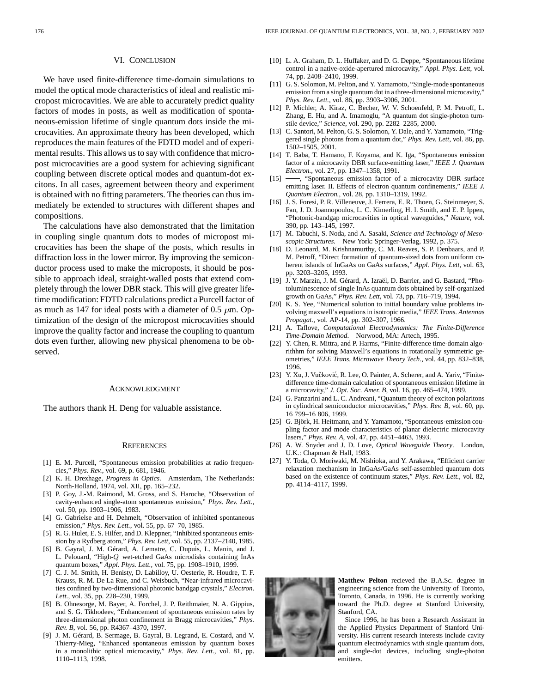### VI. CONCLUSION

We have used finite-difference time-domain simulations to model the optical mode characteristics of ideal and realistic micropost microcavities. We are able to accurately predict quality factors of modes in posts, as well as modification of spontaneous-emission lifetime of single quantum dots inside the microcavities. An approximate theory has been developed, which reproduces the main features of the FDTD model and of experimental results. This allows us to say with confidence that micropost microcavities are a good system for achieving significant coupling between discrete optical modes and quantum-dot excitons. In all cases, agreement between theory and experiment is obtained with no fitting parameters. The theories can thus immediately be extended to structures with different shapes and compositions.

The calculations have also demonstrated that the limitation in coupling single quantum dots to modes of micropost microcavities has been the shape of the posts, which results in diffraction loss in the lower mirror. By improving the semiconductor process used to make the microposts, it should be possible to approach ideal, straight-walled posts that extend completely through the lower DBR stack. This will give greater lifetime modification: FDTD calculations predict a Purcell factor of as much as 147 for ideal posts with a diameter of 0.5  $\mu$ m. Optimization of the design of the micropost microcavities should improve the quality factor and increase the coupling to quantum dots even further, allowing new physical phenomena to be observed.

#### ACKNOWLEDGMENT

The authors thank H. Deng for valuable assistance.

#### **REFERENCES**

- [1] E. M. Purcell, "Spontaneous emission probabilities at radio frequencies," *Phys. Rev.*, vol. 69, p. 681, 1946.
- [2] K. H. Drexhage, *Progress in Optics*. Amsterdam, The Netherlands: North-Holland, 1974, vol. XII, pp. 165–232.
- [3] P. Goy, J.-M. Raimond, M. Gross, and S. Haroche, "Observation of cavity-enhanced single-atom spontaneous emission," *Phys. Rev. Lett.*, vol. 50, pp. 1903–1906, 1983.
- [4] G. Gabrielse and H. Dehmelt, "Observation of inhibited spontaneous emission," *Phys. Rev. Lett.*, vol. 55, pp. 67–70, 1985.
- [5] R. G. Hulet, E. S. Hilfer, and D. Kleppner, "Inhibited spontaneous emission by a Rydberg atom," *Phys. Rev. Lett*, vol. 55, pp. 2137–2140, 1985.
- [6] B. Gayral, J. M. Gérard, A. Lematre, C. Dupuis, L. Manin, and J. L. Pelouard, "High-Q wet-etched GaAs microdisks containing InAs quantum boxes," *Appl. Phys. Lett.*, vol. 75, pp. 1908–1910, 1999.
- [7] C. J. M. Smith, H. Benisty, D. Labilloy, U. Oesterle, R. Houdre, T. F. Krauss, R. M. De La Rue, and C. Weisbuch, "Near-infrared microcavities confined by two-dimensional photonic bandgap crystals," *Electron. Lett.*, vol. 35, pp. 228–230, 1999.
- [8] B. Ohnesorge, M. Bayer, A. Forchel, J. P. Reithmaier, N. A. Gippius, and S. G. Tikhodeev, "Enhancement of spontaneous emission rates by three-dimensional photon confinement in Bragg microcavities," *Phys. Rev. B*, vol. 56, pp. R4367–4370, 1997.
- [9] J. M. Gérard, B. Sermage, B. Gayral, B. Legrand, E. Costard, and V. Thierry-Mieg, "Enhanced spontaneous emission by quantum boxes in a monolithic optical microcavity," *Phys. Rev. Lett.*, vol. 81, pp. 1110–1113, 1998.
- [10] L. A. Graham, D. L. Huffaker, and D. G. Deppe, "Spontaneous lifetime control in a native-oxide-apertured microcavity," *Appl. Phys. Lett*, vol. 74, pp. 2408–2410, 1999.
- [11] G. S. Solomon, M. Pelton, and Y. Yamamoto, "Single-mode spontaneous emission from a single quantum dot in a three-dimensional microcavity," *Phys. Rev. Lett.*, vol. 86, pp. 3903–3906, 2001.
- [12] P. Michler, A. Kiraz, C. Becher, W. V. Schoenfeld, P. M. Petroff, L. Zhang, E. Hu, and A. Imamoglu, "A quantum dot single-photon turnstile device," *Science*, vol. 290, pp. 2282–2285, 2000.
- [13] C. Santori, M. Pelton, G. S. Solomon, Y. Dale, and Y. Yamamoto, "Triggered single photons from a quantum dot," *Phys. Rev. Lett*, vol. 86, pp. 1502–1505, 2001.
- [14] T. Baba, T. Hamano, F. Koyama, and K. Iga, "Spontaneous emission factor of a microcavity DBR surface-emitting laser," *IEEE J. Quantum Electron.*, vol. 27, pp. 1347–1358, 1991.
- [15] -, "Spontaneous emission factor of a microcavity DBR surface emitting laser. II. Effects of electron quantum confinements," *IEEE J. Quantum Electron.*, vol. 28, pp. 1310–1319, 1992.
- [16] J. S. Foresi, P. R. Villeneuve, J. Ferrera, E. R. Thoen, G. Steinmeyer, S. Fan, J. D. Joannopoulos, L. C. Kimerling, H. I. Smith, and E. P. Ippen, "Photonic-bandgap microcavities in optical waveguides," *Nature*, vol. 390, pp. 143–145, 1997.
- [17] M. Tabuchi, S. Noda, and A. Sasaki, *Science and Technology of Mesoscopic Structures*. New York: Springer-Verlag, 1992, p. 375.
- [18] D. Leonard, M. Krishnamurthy, C. M. Reaves, S. P. Denbaars, and P. M. Petroff, "Direct formation of quantum-sized dots from uniform coherent islands of InGaAs on GaAs surfaces," *Appl. Phys. Lett*, vol. 63, pp. 3203–3205, 1993.
- [19] J. Y. Marzin, J. M. Gérard, A. Izraël, D. Barrier, and G. Bastard, "Photoluminescence of single InAs quantum dots obtained by self-organized growth on GaAs," *Phys. Rev. Lett*, vol. 73, pp. 716–719, 1994.
- [20] K. S. Yee, "Numerical solution to initial boundary value problems involving maxwell's equations in isotropic media," *IEEE Trans. Antennas Propagat.*, vol. AP-14, pp. 302–307, 1966.
- [21] A. Taflove, *Computational Electrodynamics: The Finite-Difference Time-Domain Method*. Norwood, MA: Artech, 1995.
- [22] Y. Chen, R. Mittra, and P. Harms, "Finite-difference time-domain algorithhm for solving Maxwell's equations in rotationally symmetric geometries," *IEEE Trans. Microwave Theory Tech.*, vol. 44, pp. 832–838, 1996.
- [23] Y. Xu, J. Vučković, R. Lee, O. Painter, A. Scherer, and A. Yariv, "Finitedifference time-domain calculation of spontaneous emission lifetime in a microcavity," *J. Opt. Soc. Amer. B*, vol. 16, pp. 465–474, 1999.
- [24] G. Panzarini and L. C. Andreani, "Quantum theory of exciton polaritons in cylindrical semiconductor microcavities," *Phys. Rev. B*, vol. 60, pp. 16 799–16 806, 1999.
- [25] G. Björk, H. Heitmann, and Y. Yamamoto, "Spontaneous-emission coupling factor and mode characteristics of planar dielectric microcavity lasers," *Phys. Rev. A*, vol. 47, pp. 4451–4463, 1993.
- [26] A. W. Snyder and J. D. Love, *Optical Waveguide Theory*. London, U.K.: Chapman & Hall, 1983.
- [27] Y. Toda, O. Moriwaki, M. Nishioka, and Y. Arakawa, "Efficient carrier relaxation mechanism in InGaAs/GaAs self-assembled quantum dots based on the existence of continuum states," *Phys. Rev. Lett.*, vol. 82, pp. 4114–4117, 1999.



**Matthew Pelton** recieved the B.A.Sc. degree in engineering science from the University of Toronto, Toronto, Canada, in 1996. He is currently working toward the Ph.D. degree at Stanford University, Stanford, CA.

Since 1996, he has been a Research Assistant in the Applied Physics Department of Stanford University. His current research interests include cavity quantum electrodynamics with single quantum dots, and single-dot devices, including single-photon emitters.